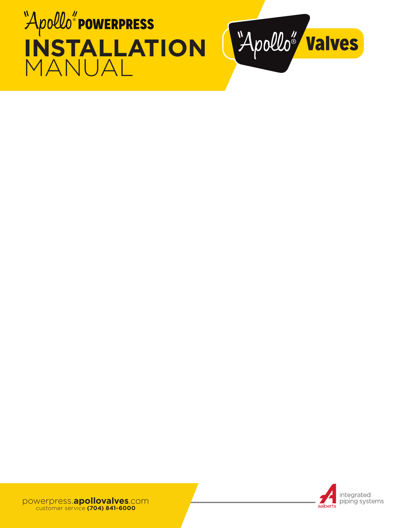





powerpress.**apollovalves**.com customer service **(704) 841-6000**